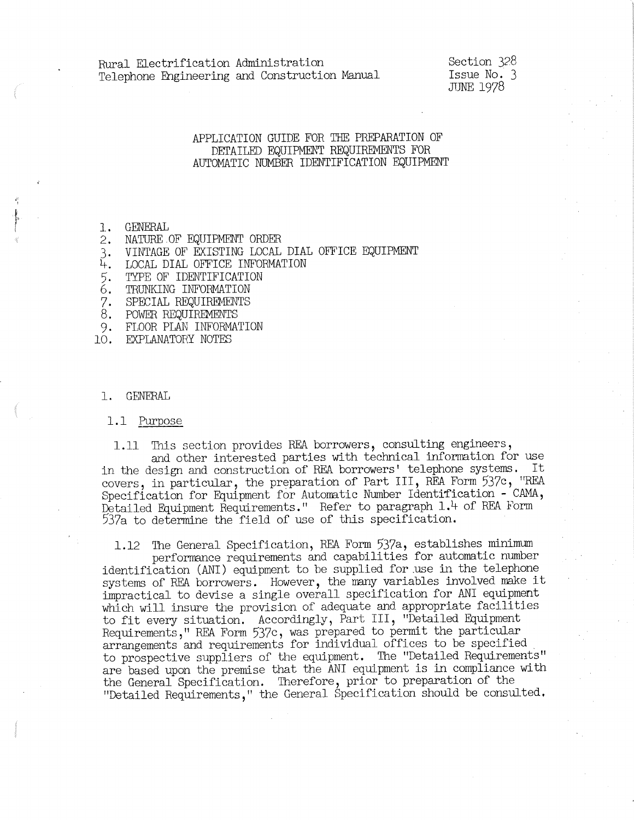### APPLICATION GUIDE FOR THE PREPARATION OF DETAILED EQUIPMENT REQUIREMENTS FOR AUTOMATIC NUMBER IDENTIFICATION EQUIPMENT

1. GENERAL

- 
- 2. NATURE OF EQUIPMENT ORDER<br>3. VINTAGE OF EXISTING LOCAL DIAL OFFICE EQUIPMENT<br>4. LOCAL DIAL OFFICE INFORMATION
- 4. LOCAL DIAL OFFICE INFORMATION<br>5. TYPE OF IDENTIFICATION<br>6. TRUNKING INFORMATION
- TYPE OF IDENTIFICATION
- 6. TRUNKING INFORMATION
- 7. SPECIAL REQUIREMENTS
- 8. POWER EQUIREMENTS
- 9. FLOOR PLAN INFORMATION

10. EXPLANATORY NOTES

1. GENERAL

1.1 Purpose

1.11 This section provides REA borrowers, consulting engineers, and other interested parties with technical information for use in the design and construction of REA borrowers' telephone systems. It covers, in particular, the preparation of Part III, REA Form 537c, <sup>11</sup>REA Specification for Equipment for Automatic Number Identification - CAMA, Detailed Equipment Requirements." Refer to paragraph 1.4 of REA Form 537a to determine the field of use of this specification.

1.12 The General Specification, REA Form 537a, establishes minimum<br>performance requirements and capabilities for automatic number identification (ANI) equipment to be supplied for use in the telephone systems of REA borrowers. However, the many variables involved make it impractical to devise a single overall specification for ANI equipment which will insure the provision of adequate and appropriate facilities to fit every situation. Accordingly, Part III, "Detailed Equipment<br>Requirements," REA Form 537c, was prepared to permit the particular arrangements and requirements for individual offices to be specified to prospective suppliers of the equipment. The "Detailed Requirements" are based upon the premise that the ANI equipment is in compliance with the General Specification. Therefore, prior to preparation of the "Detailed Requirements," the General Specification should be consulted.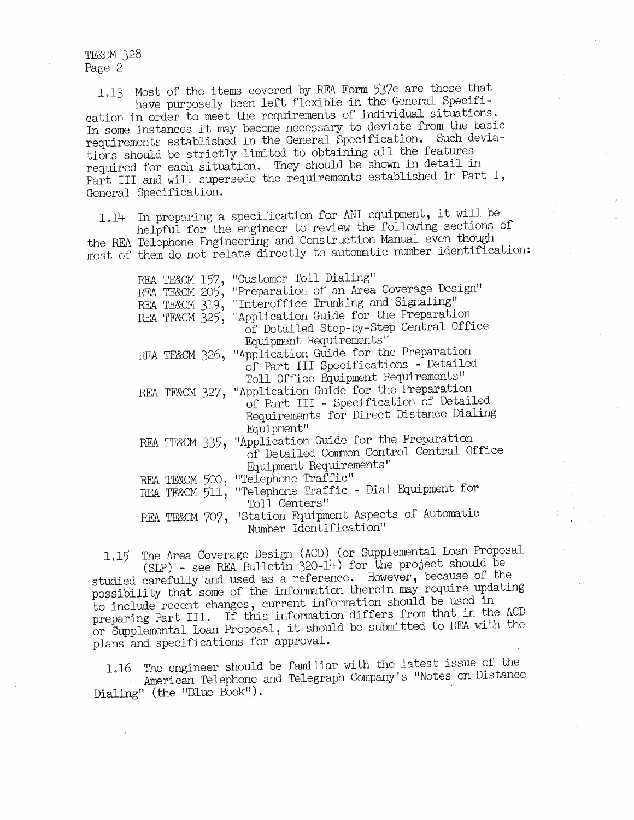**TE&CM 328** Page 2

1.13 Most of the items covered by REA Form 537c are those that cation in order to meet the requirements of individual situations.<br>In some instances it may become necessary to deviate from the basic requirements established in the General Specification. Such deviations should be strictly limited to obtaining all the features required for each situation. They should be shown in detail in Part III and will supersede the requirements established in Part I, General Specification.

1.14 In preparing a specification for ANI equipment, it will be helpful for the engineer to review the following sections of most of them do not relate directly to automatic number identification:

| REA TE&CM 157, | "Customer Toll Dialing"                               |
|----------------|-------------------------------------------------------|
| REA TE&CM 205, | "Preparation of an Area Coverage Design"              |
| REA TE&CM 319, | "Interoffice Trunking and Signaling"                  |
| REA TE&CM 325, | "Application Guide for the Preparation                |
|                | of Detailed Step-by-Step Central Office               |
|                | Equipment Requirements"                               |
|                | REA TE&CM 326, "Application Guide for the Preparation |
|                | of Part III Specifications - Detailed                 |
|                | Toll Office Equipment Requirements"                   |
|                | REA TE&CM 327, "Application Guide for the Preparation |
|                | of Part III - Specification of Detailed               |
|                | Requirements for Direct Distance Dialing              |
|                | Equipment"                                            |
|                | REA TEXCM 335, "Application Guide for the Preparation |
|                | of Detailed Common Control Central Office             |
|                | Equipment Requirements"                               |
| REA TE&CM 500, | "Telephone Traffic"                                   |
| REA TE&CM 511, | "Telephone Traffic - Dial Equipment for               |
|                | Toll Centers"                                         |
| REA TE&CM 707, | "Station Equipment Aspects of Automatic               |
|                | Number Identification"                                |

1.15 The Area Coverage Design (ACD) (or Supplemental Loan Proposal (SLP) - see REA Bulletin 320-14) for the project should be studied carefully.and used as a reference. However, because of the possibility that some of the information therein may require updating to include recent changes, current information should be used in preparing Part III. If this information differs from that in the ACD or Supplemental Loan Proposal, it should be submitted to REA with the <sup>p</sup>lans and specifications for approval.

1.16 The engineer should be familiar with the latest issue of the American Telephone and Telegraph Company's "Notes on Distance Dialing" (the "Blue Book").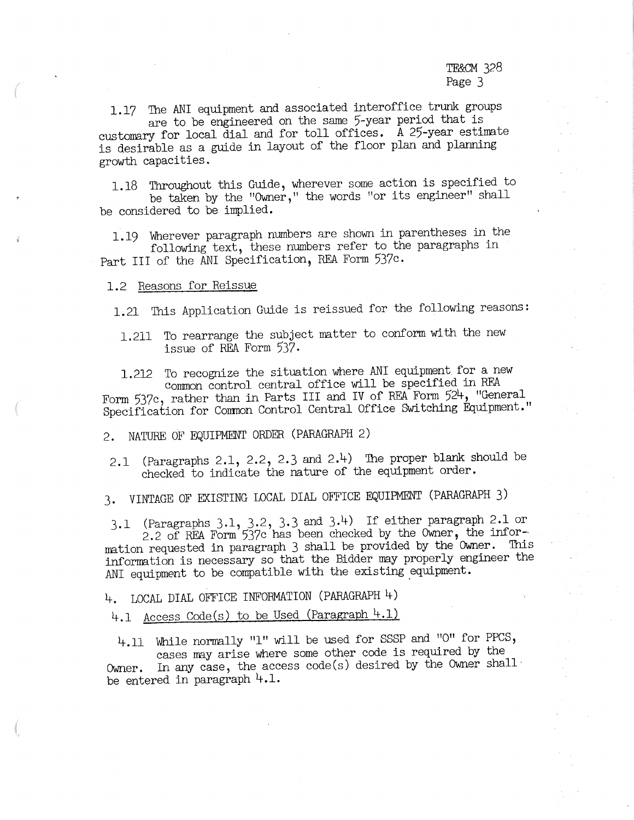1.17 The ANI equipment and associated interoffice trunk groups are to be engineered on the same 5-year period that is

customary for local dial and for toll offices. A 25-year estimate is desirable as a guide in layout of the floor plan and planning growth capacities.

1.18 Throughout this Guide, wherever some action is specified to be taken by the "Owner,'' the words "or its engineer" shall be considered to be implied.

1.19 Wherever paragraph numbers are shown in parentheses in the following text, these numbers refer to the paragraphs in Part III of the ANI Specification, REA Form 537c.

#### 1.2 Reasons for Reissue

1.21 This Application Guide is reissued for the following reasons:

1.211 To rearrange the subject matter to conform with the new issue of REA Form 537,

1.212 To recognize the situation where ANI equipment for a new common control central office will be specified in RF.A Form 537c, rather than in Parts III and IV of REA Form 524, "General Specification for Comnon Control Central Office Switching Equipment."

2. NATURE OF EQUIPMENT ORDER (PARAGRAPH 2)

2.1 (Paragraphs 2.1, 2.2, 2.3 and 2.4) The proper blank should be checked to indicate the nature of the equipment order.

3. VINTAGE OF EXISTING LOCAL DIAL OFFICE EQUIPMENT (PARAGRAPH 3)

3.1 (Paragraphs  $3.1$ ,  $3.2$ ,  $3.3$  and  $3.4$ ) If either paragraph 2.1 or 2.2 of REA Form  $537c$  has been checked by the Owner, the information requested in paragraph 3 shall be provided by the Owner. This inforrmtion is necessary so that the Bidder my properly engineer the ANI equipment to be compatible with the existing equipment.

4-. LOCAL DIAL OFFICE INFORMATION (PARAGRAPH 4-)

4.1 Access Code(s) to be Used (Paragraph 4.1)

4.11 While normally "1" will be used for SSSP and "0" for PPCS, cases my arise where some other code is required by the Owner. In any case, the access code(s) desired by the Owner shall<br>be entered in paragraph  $4.1$ .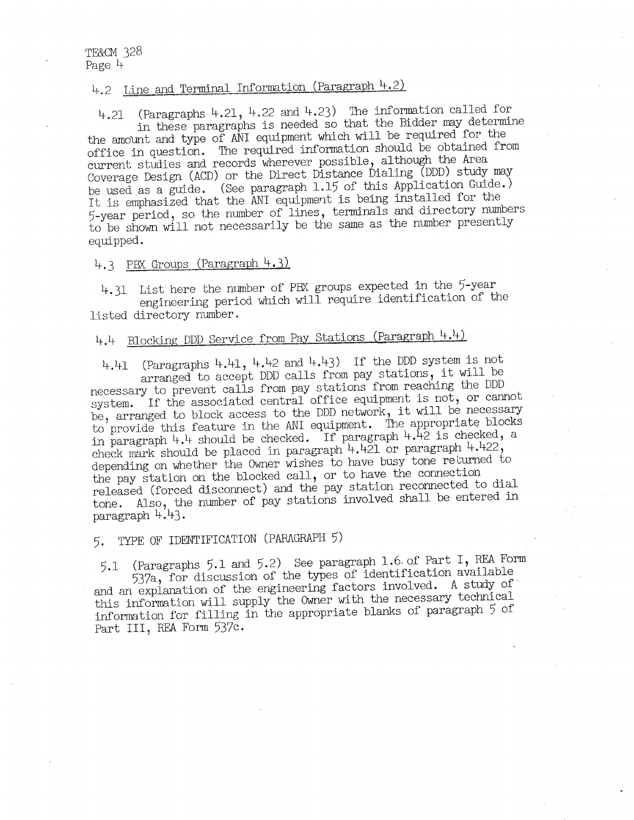# 4.2 Line and Terminal Information (Paragraph 4.2)

4.21 (Paragraphs 4.21, 4.22 and 4.23) The information called for in these paragraphs is needed so that the Bidder may determine the amount and type of ANI equipment which will be required for the office in question. The required information should be obtained from current studies and records wherever possible, although the Area Coverage Design (ACD) or the Direct Distance Dialing (DDD) study may be used as a guide. (See paragraph 1.15 of this Application Guide.) It is emphasized that the ANI equipment is being installed for the 5-year period, so the number of lines, terminals and directory numbers to be shown will not necessarily be the same as the number presently equipped.

### 4.3 PBX Groups (Paragraph 4.3)

4.31 List here the number of PBX groups expected in the 5-year engineering period which will require identification of the listed directory number.

# 4.4 Blocking DDD Service from Pay Stations (Paragraph 4.4)

4.41 (Paragraphs 4.41, 4.42 and 4.43) If the DDD system is not arranged to accept DDD calls from pay stations, it will be necessary to prevent calls from pay stations from reaching the DDD system. If the associated central office equipment is not, or cannot be, arranged to block access to the DDD network, it will be necessary to provide this feature in the ANI equipment. The appropriate blocks in paragraph 4.4 should be checked. If paragraph  $4.42$  is checked, a check mark should be placed in paragraph  $4.421$  or paragraph  $4.422$ , depending on whether the Owner wishes to have busy tone returned to the pay station on the blocked call, or to have the connection released (forced disconnect) and the pay station reconnected to dial tone. Also, the number of pay stations involved shall be entered in paragraph 4.43.

## 5. TYPE OF IDENTH'ICATION (PARAGRAPH 5)

5.1 (Paragraphs 5.1 and 5.2) See paragraph 1.6.of Part I, REA Form and an explanation of the engineering factors involved. A study of this information will supply the Owner with the necessary technical information for filling in the appropriate blanks of paragraph 5 of Part III, REA Form 537c,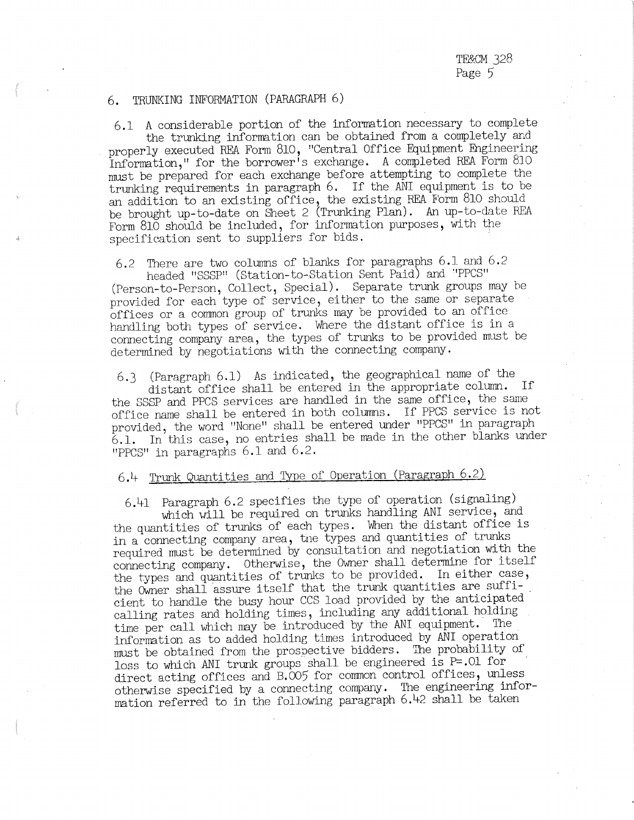#### 6. TRUNKING INFORMATION (PARAGRAPH 6)

"PPCS" in paragraphs  $6.1$  and  $6.2$ .

6.1 A considerable portion of the information necessary to complete the trunking information can be obtained from a completely and properly executed REA Form 810, "Central Office Equipment Engineering Information," for the borrower's exchange. A completed REA Form 810 must be prepared for each exchange before attempting to complete the trunking requirements in paragraph 6. If the ANI equipment is to be an addition to an existing office, the existing REA Form 810 should be brought up-to-date on Sheet 2 (Trunking Plan). An up-to-date REA Form 810 should be included, for information purposes, with the specification sent to suppliers for bids.

6.2 There are two columns of blanks for paragraphs 6.1 and 6.2

headed "SSSP" (Station-to-Station Sent Paid) and "PPCS" (Person-to-Person, Collect, Special). Separate trunk groups may be provided for each type of service, either to the same or separate handling both types of service. Where the distant office is in a connecting company area, the types of trunks to be provided must be determined by negotiations with the connecting company.

6.3 (Paragraph 6.1) As indicated, the geographical name of the distant office shall be entered in the appropriate column. If the SSSP and PPCS services are hand1ed in the same office, the same office name shall be entered in both columns. If PPCS service is not provided, the word "None" shall be entered under "PPCS" in paragraph  $6.1.$  In this case, no entries shall be made in the other blanks under

## 6.4 Trunk Quantities and Type of Operation (Paragraph 6.2)

6.41 Paragraph 6.2 specifies the type of operation (signaling)

which will be required on trunks handling ANI service, and the quantities of trunks of each types. When the distant office is in a connecting company area, tne types and quantities of trunks required must be determined by consultation and negotiation with the connecting company. Otherwise, the Owner shall determine for itself the types and quantities of trunks to be provided. In either case, the Owner shall assure itself that the trunk quantities are suffi-<br>cient to handle the busy hour CCS load provided by the anticipated calling rates and holding times, including any additional holding time per call which may be introduced by the ANI equipment. The information as to added holding times introduced by ANI operation must be obtained from the prospective bidders. The probability of loss to which ANI trunk groups shall be engineered is  $P=.01$  for direct acting offices and B.005 for common control offices, unless otherwise specified by a connecting company. The engineering information referred to in the following paragraph 6.42 shall be taken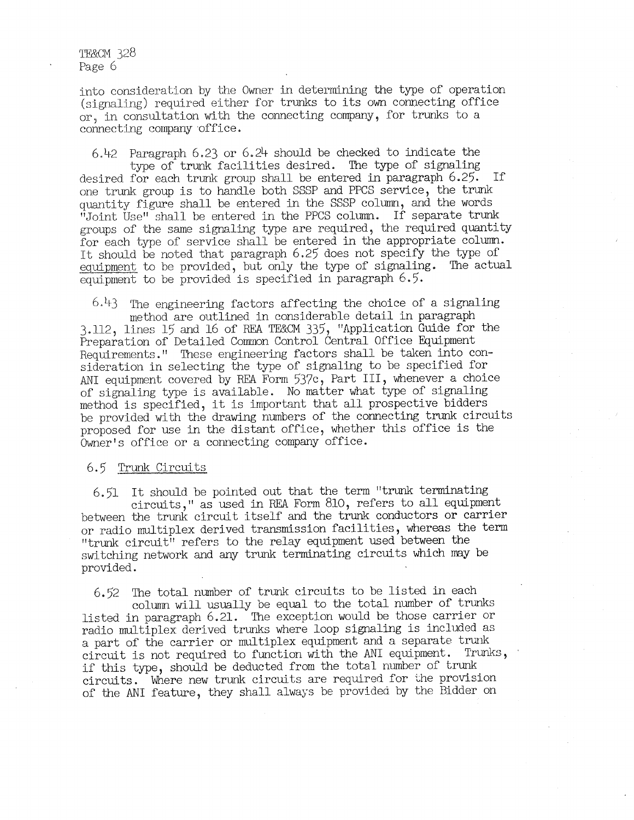TE&CM 328 Page 6

into consideration by the Owner in determining the type of operation (signaling) required either for trunks to its own connecting office or, in consultation with the connecting company, for trunks to a connecting company office.

6.42 Paragraph 6.23 or 6.24 should be checked to indicate the type of trunk facilities desired. The type of signaling desired for each trunk group shall be entered in paragraph 6.25. If one trunk group is to handle both SSSP and PPCS service, the trunk quantity figure shall be entered in the SSSP column, and the words "Joint Use" shall be entered in the PPCS column. If separate trunk groups of the same signaling type are required, the required quantity for each type of service shall be entered in the appropriate column. It should be noted that paragraph 6.25 does not specify the type of eguipment to be provided, but only the type of signaling. The actual equipment to be provided is specified in paragraph 6.5.

*6)~3* The engineering factors affecting the choice of a signaling method are outlined in considerable detail in paragraph 3.112, lines 15 and 16 of REA TE&CM 335, "Application Guide for the Preparation of Detailed Common Control Central Office Equipment Requirements." These engineering factors shall be taken into consideration in selecting the type of signaling to be specified for ANI equipment covered by REA Form 537c, Part III, whenever a choice of signaling type is available. No matter what type of signaling method is specified, it is important that all prospective bidders be provided with the drawing numbers of the connecting trunk circuits proposed for use in the distant office, whether this office is the Owner's office or a connecting company office.

#### 6.5 Trunk Circuits

6.51 It should be pointed out that the term "trunk terminating circuits," as used in REA Form 810, refers to all equipment between the trunk circuit itself and the trunk conductors or carrier or radio multiplex derived transmission facilities, whereas the term "trunk circuit" refers to the relay equipment used between the switching network and any trunk terminating circuits which may be provided.

6.52 The total number of trunk circuits to be listed in each column will usually be equal to the total number of trunks listed in paragraph 6.21. The exception would be those carrier or radio multiplex derived trunks where loop signaling is included as a part of the carrier or multiplex equipment and a separate trunk circuit is not required to function with the ANI equipment. Trunks, if this type, should be deducted from the total number of trunk circuits. Where new trunk circuits are required for the provision of the ANI feature, they shall always be provided by the Bidder on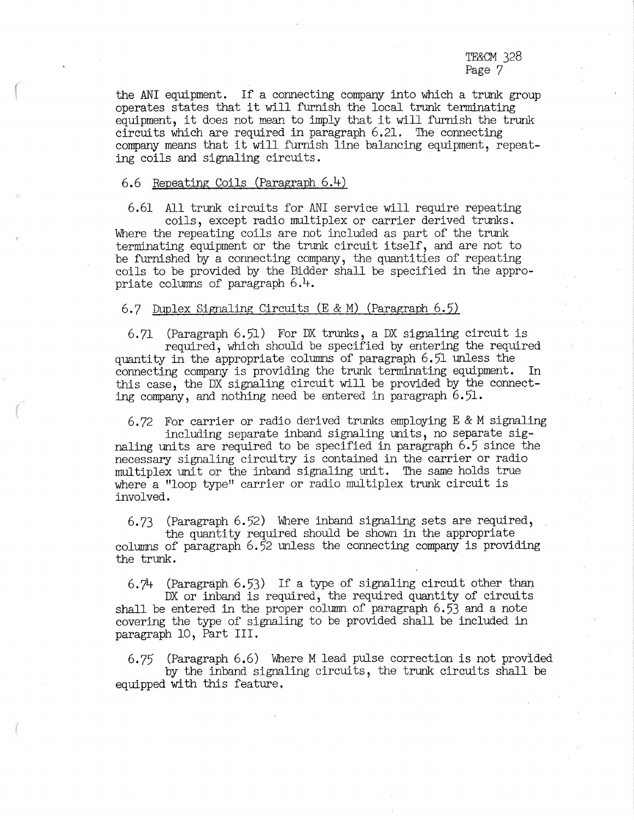TE&CM 328 Page 7

the ANI equipment. If a connecting company into which a trunk group operates states that it will furnish the local trunk terminating equipment, it does not mean to imply that it will furnish the trunk circuits which are required in paragraph 6.21, The connecting company means that it will furnish ljne balancing equipment, repeating coils and signaling circuits.

### 6.6 Repeating Coils (Paragraph 6.4)

6.61 All trunk circuits for ANI service will require repeating

coils, except radio multiplex or carrier derived trunks. Where the repeating coils are not included as part of the trunk terminating equipment or the trunk circuit itself, and are not to be furnished by a connecting company, the quantities of repeating coils to be provided by the Bidder shall be specified in the appropriate columns of paragraph  $6.4$ .

#### 6.7 Duplex Signaling Circuits (E & M) (Paragraph 6.5)

6.71 (Paragraph 6.51) For DX trunks, a DX signaling circuit is required, which should be specified by entering the required quantity in the appropriate columns of paragraph  $6.51$  unless the connecting company is providing the trunk terminating equipment. In this case, the DX signaling circuit will be provided by the connecting company, and nothing need be entered in paragraph 6.51.

6.72 For carrier or radio derived trunks employing E & M signaling including separate inband signaling units, no separate sig-

naling units are required to be specified in paragraph 6.5 since the necessary signaling circuitry is contained in the carrier or radio multiplex unit or the inband signaling unit. The same holds true where a "loop type" carrier or radio multiplex trunk circuit is involved.

6.73 (Paragraph 6.52) Where inband signaling sets are required, the quantity required should be shown in the appropriate

columns of paragraph  $6.52$  unless the connecting company is providing the trunk.

6.74 (Paragraph  $6.53$ ) If a type of signaling circuit other than

DX or inband is required, the required quantity of circuits shall be entered in the proper column of paragraph 6.53 and a note covering the type of signaling to be provided shall be included in paragraph 10, Part III.

6.75 (Paragraph 6.6) Where M lead pulse correction is not provided by the inband signaling circuits, the trunk circuits shall be equipped with this feature.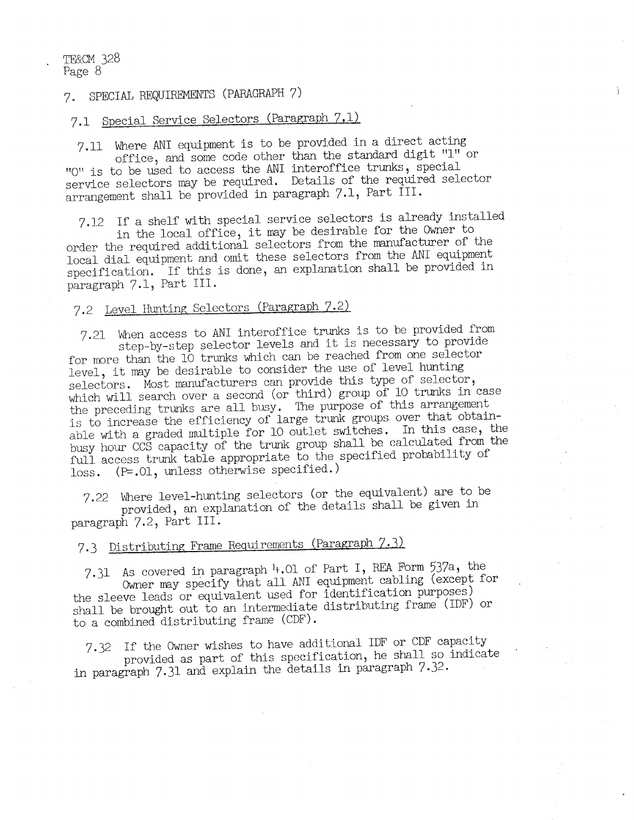## 7. SPECIAL REQUIREMENTS (PARAGRAPH 7)

# 7.1 Special Service Selectors (Paragraph 7,lj\_

7.11 Where ANI equipment is to be provided in a direct acting office, and some code other than the standard digit "l" or "O" is to be used to access the ANI interoffice trunks, special service selectors may be required. Details of the required selector arrangement shall be provided in paragraph 7.1, Part III.

7.12 If a shelf with special service selectors is already installed<br>in the local office, it may be desirable for the Owner to<br>order the required additional selectors from the manufacturer of the<br>local dial equipment and om specification. If this is done, an explanation shall be provided in paragraph 7.1, Part III.

# 7.2 Level Hunting Selectors (Paragraph 7.2)

7.21 When access to ANI interoffice trunks is to be provided from step-by-step selector levels and it is necessary to provide<br>for more than the 10 trunks which can be reached from one selector level, it may be desirable to consider the use of level hunting selectors. Most manufacturers can provide this type of selector, which will search over a second (or third) group of 10 trunks in case<br>the preceding trunks are all busy. The purpose of this arrangement is to increase the efficiency of large trunk groups over that obtainable with a graded multiple for 10 outlet switches, In this case, the busy hour CCS capacity of the trunk group shall be calculated from the full access trunk table appropriate to the specified probability of loss. (P=.01, unless otherwise specified.)

7,22 Where level-hunting selectors (or the equivalent) are to be provided, an explanation of the details shall be given in paragraph 7.2, Part III.

# 7.3 Distributing Frame Requirements (Paragraph 7.3)

7.31 As covered in paragraph  $4.01$  of Part I, REA Form 537a, the Owner may specify that all ANI equipment cabling (except for the sleeve leads or equivalent used for identification purposes) shall be brought out to an intermediate distributing frame (IDF) or to a combined distributing frame (CDF).

7.32 If the Owner wishes to have additional IDF or CDF capacity provided as part of this specification, he shall so indicate in paragraph 7.31 and explain the details in paragraph 7.32.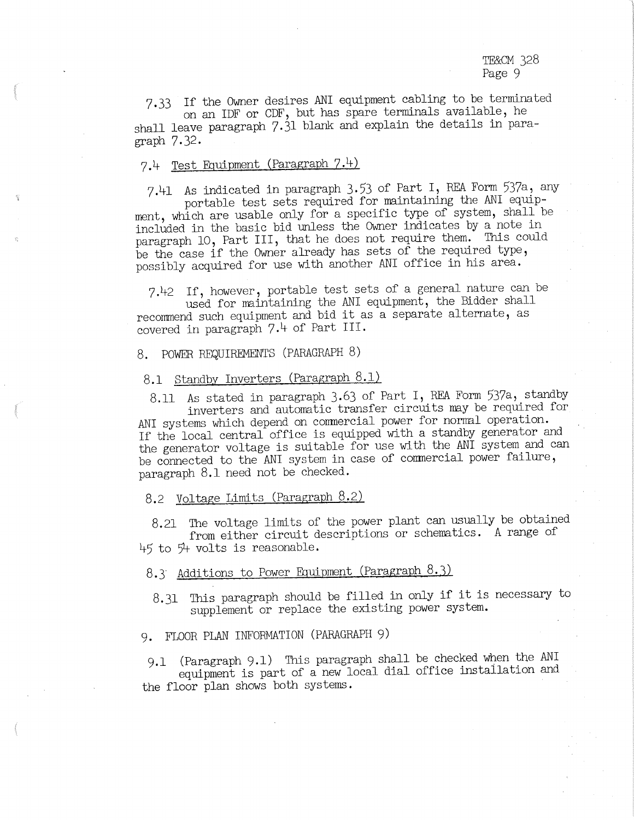7.33 If the Owner desires ANI equipment cabling to be terminated on an IDF or CDF, but has spare terminals available, he shall leave paragraph 7.31 blank and explain the details in paragraph 7.32.

## 7,4 Test Equipment (Paragraph 7.4)

7,41 As indicated in paragraph 3,53 of Part I, REA Form 537a, any

ment, which are usable only for a specific type of system, shall be included in the basic bid unless the Owner indicates by a note in paragraph 10, Part III, that he does not require them. This could be the case if the Owner already has sets of the required type, possibly acquired for use with another ANI office in his area.

7,42 If, however, portable test sets of a general nature can be

recommend such equipment and bid it as a separate alternate, as covered in paragraph 7,4 of Part III.

8. POWER REQUIREMENTS (PARAGRAPH 8)

### 8.1 Standby Inverters (Paragraph 8.1)

8.11 As stated in paragraph 3.63 of Part I, REA Form 537a, standby<br>inverters and automatic transfer circuits may be required for

ANI systems which depend on commercial power for normal operation. If the local central office is equipped with a standby generator and the generator voltage is suitable for use with the ANI system and can be connected to the ANI system in case of commercial power failure, paragraph 8.1 need not be checked.

## 8.2 Voltage Limits (Paragraph 8.2)

8.21 The voltage limits of the power plant can usually be obtained from either circuit descriptions or schematics. A range of  $45$  to  $54$  volts is reasonable.

## 8.3 Additions to Power Equipment (Paragraph 8.3)

8.31 This paragraph should be filled in only if it is necessary to supplement or replace the existing power system.

### 9, FLOOR PL.AN INFORMATION (PARAGRAPH 9)

9.1 (Paragraph 9.1) This paragraph shall be checked when the ANI equipment is part of a new local dial office instailation and the floor plan shows both systems.